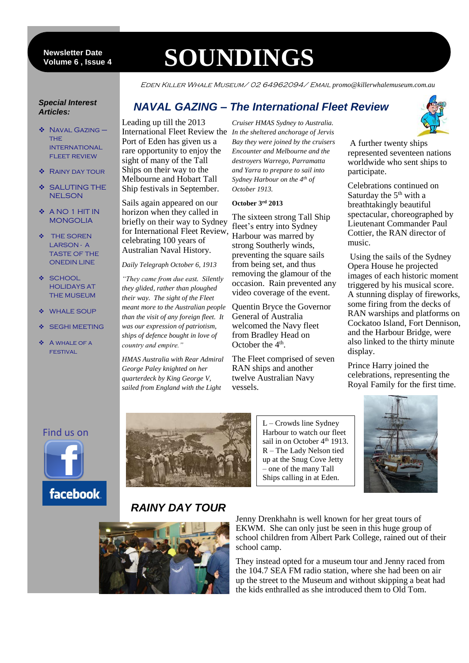6 **Volume 6 , Issue 4 Newsletter Date**

# **SOUNDINGS**

Eden Killer Whale Museum/ 02 64962094/ Email *promo@killerwhalemuseum.com.au*

#### *Special Interest Articles:*

- ◆ NAVAL GAZING **THF INTERNATIONAL FLEET REVIEW**
- ❖ RAINY DAY TOUR
- **SALUTING THE** NELSON
- A NO 1 HIT IN MONGOLIA
- **\*** THE SOREN LARSON - A TASTE OF THE ONEDIN LINE
- ❖ SCHOOL HOLIDAYS AT THE MUSEUM
- ◆ WHALE SOUP
- SEGHI MEETING
- **A WHALE OF A** festival

## *NAVAL GAZING – The International Fleet Review*

Leading up till the 2013 Port of Eden has given us a rare opportunity to enjoy the sight of many of the Tall Ships on their way to the Melbourne and Hobart Tall Ship festivals in September.

Sails again appeared on our horizon when they called in briefly on their way to Sydney for International Fleet Review, celebrating 100 years of Australian Naval History.

*Daily Telegraph October 6, 1913*

*"They came from due east. Silently they glided, rather than ploughed their way. The sight of the Fleet meant more to the Australian people than the visit of any foreign fleet. It was our expression of patriotism, ships of defence bought in love of country and empire."*

*HMAS Australia with Rear Admiral George Paley knighted on her quarterdeck by King George V, sailed from England with the Light* 

International Fleet Review the *In the sheltered anchorage of Jervis Cruiser HMAS Sydney to Australia. Bay they were joined by the cruisers Encounter and Melbourne and the destroyers Warrego, Parramatta and Yarra to prepare to sail into Sydney Harbour on the 4th of October 1913.*

#### **October 3rd 2013**

The sixteen strong Tall Ship fleet's entry into Sydney Harbour was marred by strong Southerly winds, preventing the square sails from being set, and thus removing the glamour of the occasion. Rain prevented any video coverage of the event.

Quentin Bryce the Governor General of Australia welcomed the Navy fleet from Bradley Head on October the 4<sup>th</sup>.

The Fleet comprised of seven RAN ships and another twelve Australian Navy vessels.



A further twenty ships represented seventeen nations worldwide who sent ships to participate.

Celebrations continued on Saturday the  $5<sup>th</sup>$  with a breathtakingly beautiful spectacular, choreographed by Lieutenant Commander Paul Cottier, the RAN director of music.

Using the sails of the Sydney Opera House he projected images of each historic moment triggered by his musical score. A stunning display of fireworks, some firing from the decks of RAN warships and platforms on Cockatoo Island, Fort Dennison, and the Harbour Bridge, were also linked to the thirty minute display.

Prince Harry joined the celebrations, representing the Royal Family for the first time.

#### Find us on





L – Crowds line Sydney Harbour to watch our fleet sail in on October 4<sup>th</sup> 1913. R – The Lady Nelson tied up at the Snug Cove Jetty – one of the many Tall Ships calling in at Eden.



# *RAINY DAY TOUR*



Jenny Drenkhahn is well known for her great tours of EKWM. She can only just be seen in this huge group of school children from Albert Park College, rained out of their school camp.

They instead opted for a museum tour and Jenny raced from the 104.7 SEA FM radio station, where she had been on air up the street to the Museum and without skipping a beat had the kids enthralled as she introduced them to Old Tom.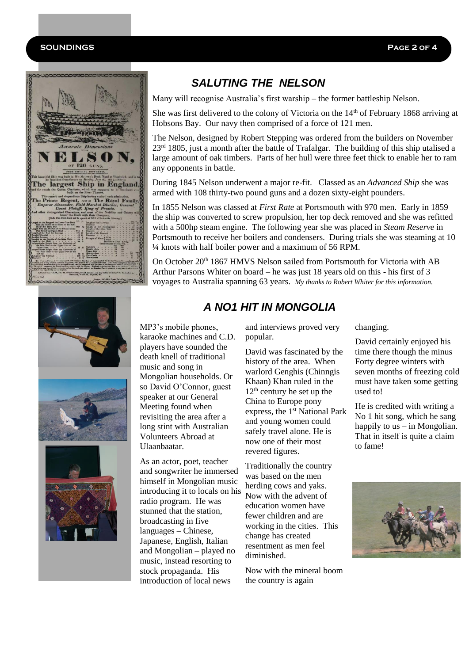#### **SOUNDINGS Page 2 of 4**





# *SALUTING THE NELSON*

Many will recognise Australia's first warship – the former battleship Nelson.

She was first delivered to the colony of Victoria on the 14<sup>th</sup> of February 1868 arriving at Hobsons Bay. Our navy then comprised of a force of 121 men.

The Nelson, designed by Robert Stepping was ordered from the builders on November  $23<sup>rd</sup>$  1805, just a month after the battle of Trafalgar. The building of this ship utalised a large amount of oak timbers. Parts of her hull were three feet thick to enable her to ram any opponents in battle.

During 1845 Nelson underwent a major re-fit. Classed as an *Advanced Ship* she was armed with 108 thirty-two pound guns and a dozen sixty-eight pounders.

In 1855 Nelson was classed at *First Rate* at Portsmouth with 970 men. Early in 1859 the ship was converted to screw propulsion, her top deck removed and she was refitted with a 500hp steam engine. The following year she was placed in *Steam Reserve* in Portsmouth to receive her boilers and condensers. During trials she was steaming at 10 ¼ knots with half boiler power and a maximum of 56 RPM.

On October 20<sup>th</sup> 1867 HMVS Nelson sailed from Portsmouth for Victoria with AB Arthur Parsons Whiter on board – he was just 18 years old on this - his first of 3 voyages to Australia spanning 63 years. *My thanks to Robert Whiter for this information.*

## *A NO1 HIT IN MONGOLIA*

MP3's mobile phones, karaoke machines and C.D. players have sounded the death knell of traditional music and song in Mongolian households. Or so David O'Connor, guest speaker at our General Meeting found when revisiting the area after a long stint with Australian Volunteers Abroad at Ulaanbaatar.

As an actor, poet, teacher and songwriter he immersed himself in Mongolian music introducing it to locals on his radio program. He was stunned that the station, broadcasting in five languages – Chinese, Japanese, English, Italian and Mongolian – played no music, instead resorting to stock propaganda. His introduction of local news

and interviews proved very popular.

David was fascinated by the history of the area. When warlord Genghis (Chinngis Khaan) Khan ruled in the  $12<sup>th</sup>$  century he set up the China to Europe pony express, the 1<sup>st</sup> National Park and young women could safely travel alone. He is now one of their most revered figures.

Traditionally the country was based on the men herding cows and yaks. Now with the advent of education women have fewer children and are working in the cities. This change has created resentment as men feel diminished.

Now with the mineral boom the country is again

changing.

David certainly enjoyed his time there though the minus Forty degree winters with seven months of freezing cold must have taken some getting used to!

He is credited with writing a No 1 hit song, which he sang happily to us – in Mongolian. That in itself is quite a claim to fame!

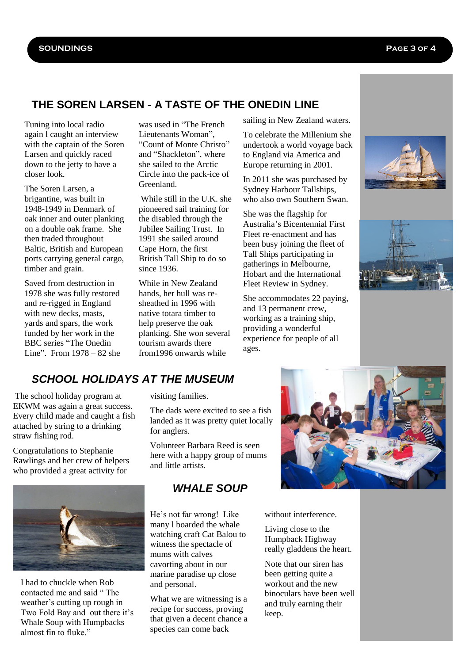### **THE SOREN LARSEN - A TASTE OF THE ONEDIN LINE**

Tuning into local radio again l caught an interview with the captain of the Soren Larsen and quickly raced down to the jetty to have a closer look.

The Soren Larsen, a brigantine, was built in 1948-1949 in Denmark of oak inner and outer planking on a double oak frame. She then traded throughout Baltic, British and European ports carrying general cargo, timber and grain.

Saved from destruction in 1978 she was fully restored and re-rigged in England with new decks, masts, yards and spars, the work funded by her work in the BBC series "The Onedin Line". From 1978 – 82 she

was used in "The French Lieutenants Woman", "Count of Monte Christo" and "Shackleton", where she sailed to the Arctic Circle into the pack-ice of Greenland.

While still in the U.K. she pioneered sail training for the disabled through the Jubilee Sailing Trust. In 1991 she sailed around Cape Horn, the first British Tall Ship to do so since 1936.

While in New Zealand hands, her hull was resheathed in 1996 with native totara timber to help preserve the oak planking. She won several tourism awards there from1996 onwards while

sailing in New Zealand waters.

To celebrate the Millenium she undertook a world voyage back to England via America and Europe returning in 2001.

In 2011 she was purchased by Sydney Harbour Tallships, who also own Southern Swan.

She was the flagship for Australia's Bicentennial First Fleet re-enactment and has been busy joining the fleet of Tall Ships participating in gatherings in Melbourne, Hobart and the International Fleet Review in Sydney.

She accommodates 22 paying, and 13 permanent crew, working as a training ship, providing a wonderful experience for people of all ages.





## *SCHOOL HOLIDAYS AT THE MUSEUM*

The school holiday program at EKWM was again a great success. Every child made and caught a fish attached by string to a drinking straw fishing rod.

Congratulations to Stephanie Rawlings and her crew of helpers who provided a great activity for



I had to chuckle when Rob contacted me and said " The weather's cutting up rough in Two Fold Bay and out there it's Whale Soup with Humpbacks almost fin to fluke."

visiting families.

The dads were excited to see a fish landed as it was pretty quiet locally for anglers.

Volunteer Barbara Reed is seen here with a happy group of mums and little artists.

### *WHALE SOUP*

He's not far wrong! Like many l boarded the whale watching craft Cat Balou to witness the spectacle of mums with calves cavorting about in our marine paradise up close and personal.

What we are witnessing is a recipe for success, proving that given a decent chance a species can come back



without interference.

Living close to the Humpback Highway really gladdens the heart.

Note that our siren has been getting quite a workout and the new binoculars have been well and truly earning their keep.